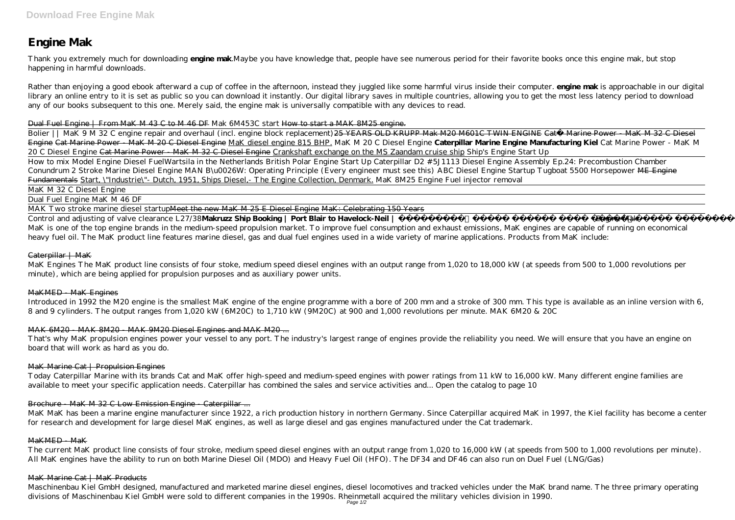# **Engine Mak**

Thank you extremely much for downloading **engine mak**.Maybe you have knowledge that, people have see numerous period for their favorite books once this engine mak, but stop happening in harmful downloads.

Rather than enjoying a good ebook afterward a cup of coffee in the afternoon, instead they juggled like some harmful virus inside their computer. **engine mak** is approachable in our digital library an online entry to it is set as public so you can download it instantly. Our digital library saves in multiple countries, allowing you to get the most less latency period to download any of our books subsequent to this one. Merely said, the engine mak is universally compatible with any devices to read.

### Dual Fuel Engine | From MaK M 43 C to M 46 DF *Mak 6M453C start* How to start a MAK 8M25 engine.

Bolier || MaK 9 M 32 C engine repair and overhaul (incl. engine block replacement) 25 YEARS OLD KRUPP Mak M20 M601C TWIN ENGINE Cat® Marine Power - MaK M 32 C Diesel Engine Cat Marine Power - MaK M 20 C Diesel Engine MaK diesel engine 815 BHP. *MaK M 20 C Diesel Engine* **Caterpillar Marine Engine Manufacturing Kiel** *Cat Marine Power - MaK M 20 C Diesel Engine* Cat Marine Power - MaK M 32 C Diesel Engine Crankshaft exchange on the MS Zaandam cruise ship *Ship's Engine Start Up* How to mix Model Engine Diesel Fuel*Wartsila in the Netherlands British Polar Engine Start Up Caterpillar D2 #5J1113 Diesel Engine Assembly Ep.24: Precombustion Chamber Conundrum 2 Stroke Marine Diesel Engine MAN B\u0026W: Operating Principle (Every engineer must see this) ABC Diesel Engine Startup Tugboat 5500 Horsepower* ME Engine Fundamentals Start, \"Industrie\"- Dutch, 1951, Ships Diesel,- The Engine Collection, Denmark. *MaK 8M25 Engine Fuel injector removal*

Control and adjusting of valve clearance L27/38Makruzz Ship Booking | Port Blair to Havelock-Neil | Engine Mak MaK is one of the top engine brands in the medium-speed propulsion market. To improve fuel consumption and exhaust emissions, MaK engines are capable of running on economical heavy fuel oil. The MaK product line features marine diesel, gas and dual fuel engines used in a wide variety of marine applications. Products from MaK include:

# Caterpillar | MaK

MaK M 32 C Diesel Engine

Dual Fuel Engine MaK M 46 DF

MAK Two stroke marine diesel startup<del>Meet the new MaK M 25 E Diesel Engine MaK: Celebrating 150 Years</del>

MaK Engines The MaK product line consists of four stoke, medium speed diesel engines with an output range from 1,020 to 18,000 kW (at speeds from 500 to 1,000 revolutions per minute), which are being applied for propulsion purposes and as auxiliary power units.

# MaKMED - MaK Engines

Introduced in 1992 the M20 engine is the smallest MaK engine of the engine programme with a bore of 200 mm and a stroke of 300 mm. This type is available as an inline version with 6, 8 and 9 cylinders. The output ranges from 1,020 kW (6M20C) to 1,710 kW (9M20C) at 900 and 1,000 revolutions per minute. MAK 6M20 & 20C

# MAK 6M20 - MAK 8M20 - MAK 9M20 Diesel Engines and MAK M20 ...

That's why MaK propulsion engines power your vessel to any port. The industry's largest range of engines provide the reliability you need. We will ensure that you have an engine on board that will work as hard as you do.

# MaK Marine Cat | Propulsion Engines

Today Caterpillar Marine with its brands Cat and MaK offer high-speed and medium-speed engines with power ratings from 11 kW to 16,000 kW. Many different engine families are available to meet your specific application needs. Caterpillar has combined the sales and service activities and... Open the catalog to page 10

# Brochure - MaK M 32 C Low Emission Engine - Caterpillar ...

MaK MaK has been a marine engine manufacturer since 1922, a rich production history in northern Germany. Since Caterpillar acquired MaK in 1997, the Kiel facility has become a center for research and development for large diesel MaK engines, as well as large diesel and gas engines manufactured under the Cat trademark.

# MaKMED - MaK

The current MaK product line consists of four stroke, medium speed diesel engines with an output range from 1,020 to 16,000 kW (at speeds from 500 to 1,000 revolutions per minute). All MaK engines have the ability to run on both Marine Diesel Oil (MDO) and Heavy Fuel Oil (HFO). The DF34 and DF46 can also run on Duel Fuel (LNG/Gas)

# MaK Marine Cat | MaK Products

Maschinenbau Kiel GmbH designed, manufactured and marketed marine diesel engines, diesel locomotives and tracked vehicles under the MaK brand name. The three primary operating divisions of Maschinenbau Kiel GmbH were sold to different companies in the 1990s. Rheinmetall acquired the military vehicles division in 1990. Page 1/2